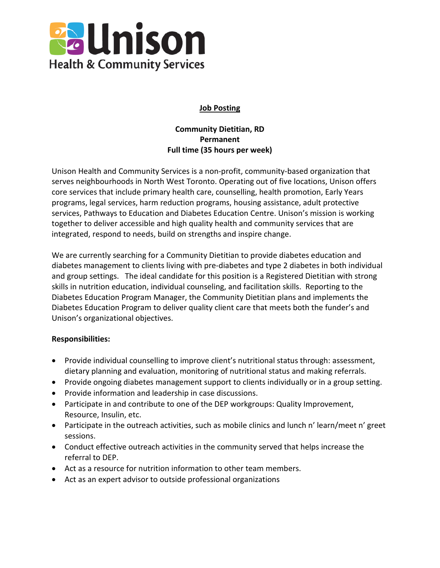

## **Job Posting**

# **Community Dietitian, RD Permanent Full time (35 hours per week)**

Unison Health and Community Services is a non-profit, community-based organization that serves neighbourhoods in North West Toronto. Operating out of five locations, Unison offers core services that include primary health care, counselling, health promotion, Early Years programs, legal services, harm reduction programs, housing assistance, adult protective services, Pathways to Education and Diabetes Education Centre. Unison's mission is working together to deliver accessible and high quality health and community services that are integrated, respond to needs, build on strengths and inspire change.

We are currently searching for a Community Dietitian to provide diabetes education and diabetes management to clients living with pre-diabetes and type 2 diabetes in both individual and group settings. The ideal candidate for this position is a Registered Dietitian with strong skills in nutrition education, individual counseling, and facilitation skills. Reporting to the Diabetes Education Program Manager, the Community Dietitian plans and implements the Diabetes Education Program to deliver quality client care that meets both the funder's and Unison's organizational objectives.

### **Responsibilities:**

- Provide individual counselling to improve client's nutritional status through: assessment, dietary planning and evaluation, monitoring of nutritional status and making referrals.
- Provide ongoing diabetes management support to clients individually or in a group setting.
- Provide information and leadership in case discussions.
- Participate in and contribute to one of the DEP workgroups: Quality Improvement, Resource, Insulin, etc.
- Participate in the outreach activities, such as mobile clinics and lunch n' learn/meet n' greet sessions.
- Conduct effective outreach activities in the community served that helps increase the referral to DEP.
- Act as a resource for nutrition information to other team members.
- Act as an expert advisor to outside professional organizations